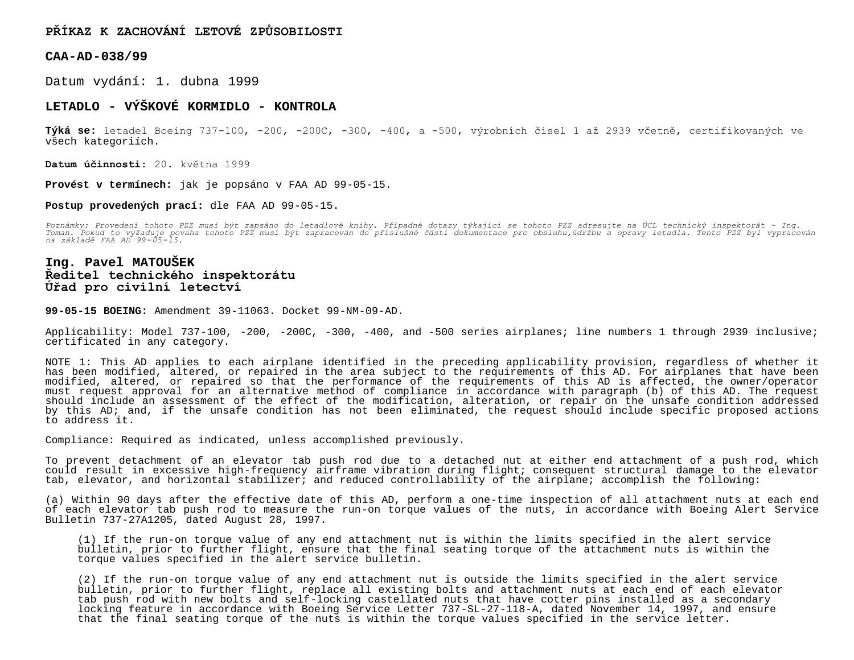## **PŘÍKAZ K ZACHOVÁNÍ LETOVÉ ZPŮSOBILOSTI**

**CAA-AD-038/99**

Datum vydání: 1. dubna 1999

## **LETADLO - VÝŠKOVÉ KORMIDLO - KONTROLA**

**Týká se:** letadel Boeing 737-100, -200, -200C, -300, -400, a -500, výrobních čísel 1 až 2939 včetně, certifikovaných ve všech kategoriích.

**Datum účinnosti:** 20. května 1999

**Provést v termínech:** jak je popsáno v FAA AD 99-05-15.

## **Postup provedených prací:** dle FAA AD 99-05-15.

*Poznámky: Provedení tohoto PZZ musí být zapsáno do letadlové knihy. Případné dotazy týkající se tohoto PZZ adresujte na ÚCL technický inspektorát - Ing. Toman. Pokud to vyžaduje povaha tohoto PZZ musí být zapracován do příslušné části dokumentace pro obsluhu,údržbu a opravy letadla. Tento PZZ byl vypracován na základě FAA AD 99-05-15.*

## **Ing. Pavel MATOUŠEK Ředitel technického inspektorátu Úřad pro civilní letectví**

**99-05-15 BOEING:** Amendment 39-11063. Docket 99-NM-09-AD.

Applicability: Model 737-100, -200, -200C, -300, -400, and -500 series airplanes; line numbers 1 through 2939 inclusive; certificated in any category.

NOTE 1: This AD applies to each airplane identified in the preceding applicability provision, regardless of whether it has been modified, altered, or repaired in the area subject to the requirements of this AD. For airplanes that have been modified, altered, or repaired so that the performance of the requirements of this AD is affected, the owner/operator must request approval for an alternative method of compliance in accordance with paragraph (b) of this AD. The request should include an assessment of the effect of the modification, alteration, or repair on the unsafe condition addressed by this AD; and, if the unsafe condition has not been eliminated, the request should include specific proposed actions to address it.

Compliance: Required as indicated, unless accomplished previously.

To prevent detachment of an elevator tab push rod due to a detached nut at either end attachment of a push rod, which could result in excessive high-frequency airframe vibration during flight; consequent structural damage to the elevator tab, elevator, and horizontal stabilizer; and reduced controllability of the airplane; accomplish the following:

(a) Within 90 days after the effective date of this AD, perform a one-time inspection of all attachment nuts at each end of each elevator tab push rod to measure the run-on torque values of the nuts, in accordance with Boeing Alert Service Bulletin 737-27A1205, dated August 28, 1997.

(1) If the run-on torque value of any end attachment nut is within the limits specified in the alert service bulletin, prior to further flight, ensure that the final seating torque of the attachment nuts is within the torque values specified in the alert service bulletin.

(2) If the run-on torque value of any end attachment nut is outside the limits specified in the alert service bulletin, prior to further flight, replace all existing bolts and attachment nuts at each end of each elevator tab push rod with new bolts and self-locking castellated nuts that have cotter pins installed as a secondary locking feature in accordance with Boeing Service Letter 737-SL-27-118-A, dated November 14, 1997, and ensure that the final seating torque of the nuts is within the torque values specified in the service letter.